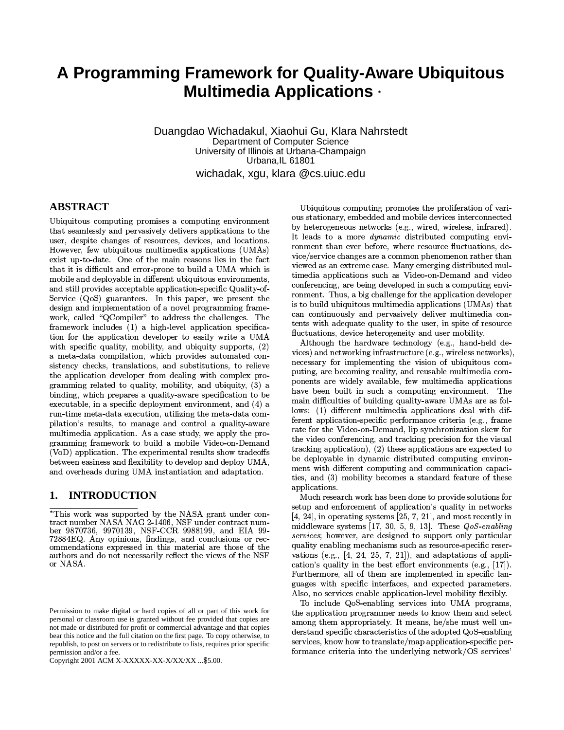# A Programming Framework for Quality-Aware Ubiquitous **Multimedia Applications ·**

Duangdao Wichadakul, Xiaohui Gu, Klara Nahrstedt Department of Computer Science University of Illinois at Urbana-Champaign Urbana, IL 61801 wichadak, xgu, klara @cs.uiuc.edu

# **ABSTRACT**

Ubiquitous computing promises a computing environment that seamlessly and pervasively delivers applications to the user, despite changes of resources, devices, and locations. However, few ubiquitous multimedia applications (UMAs) exist up-to-date. One of the main reasons lies in the fact that it is difficult and error-prone to build a UMA which is mobile and deployable in different ubiquitous environments, and still provides acceptable application-specific Quality-of-Service (QoS) guarantees. In this paper, we present the design and implementation of a novel programming framework, called "QCompiler" to address the challenges. The framework includes (1) a high-level application specification for the application developer to easily write a UMA with specific quality, mobility, and ubiquity supports, (2) a meta-data compilation, which provides automated consistency checks, translations, and substitutions, to relieve the application developer from dealing with complex programming related to quality, mobility, and ubiquity, (3) a binding, which prepares a quality-aware specification to be executable, in a specific deployment environment, and (4) a run-time meta-data execution, utilizing the meta-data compilation's results, to manage and control a quality-aware multimedia application. As a case study, we apply the programming framework to build a mobile Video-on-Demand (VoD) application. The experimental results show tradeoffs between easiness and flexibility to develop and deploy UMA, and overheads during UMA instantiation and adaptation.

#### 1. **INTRODUCTION**

Copyright 2001 ACM X-XXXXX-XX-X/XX/XX ... \$5.00.

Ubiquitous computing promotes the proliferation of various stationary, embedded and mobile devices interconnected by heterogeneous networks (e.g., wired, wireless, infrared). It leads to a more *dynamic* distributed computing environment than ever before, where resource fluctuations, device/service changes are a common phenomenon rather than viewed as an extreme case. Many emerging distributed multimedia applications such as Video-on-Demand and video conferencing, are being developed in such a computing environment. Thus, a big challenge for the application developer is to build ubiquitous multimedia applications (UMAs) that can continuously and pervasively deliver multimedia contents with adequate quality to the user, in spite of resource fluctuations, device heterogeneity and user mobility.

Although the hardware technology (e.g., hand-held devices) and networking infrastructure (e.g., wireless networks), necessary for implementing the vision of ubiquitous computing, are becoming reality, and reusable multimedia components are widely available, few multimedia applications have been built in such a computing environment. The main difficulties of building quality aware UMAs are as follows: (1) different multimedia applications deal with different application-specific performance criteria (e.g., frame rate for the Video-on-Demand, lip synchronization skew for the video conferencing, and tracking precision for the visual tracking application),  $(2)$  these applications are expected to be deployable in dynamic distributed computing environment with different computing and communication capacities, and (3) mobility becomes a standard feature of these applications.

Much research work has been done to provide solutions for setup and enforcement of application's quality in networks  $[4, 24]$ , in operating systems  $[25, 7, 21]$ , and most recently in middleware systems [17, 30, 5, 9, 13]. These  $QoS$ -enabling services; however, are designed to support only particular quality enabling mechanisms such as resource-specific reservations (e.g.,  $[4, 24, 25, 7, 21]$ ), and adaptations of application's quality in the best effort environments (e.g., [17]). Furthermore, all of them are implemented in specific languages with specific interfaces, and expected parameters. Also, no services enable application-level mobility flexibly.

To include QoS-enabling services into UMA programs, the application programmer needs to know them and select among them appropriately. It means, he/she must well understand specific characteristics of the adopted QoS-enabling services, know how to translate/map application-specific performance criteria into the underlying network/OS services'

<sup>\*</sup>This work was supported by the NASA grant under contract number NASA NAG 2-1406, NSF under contract number 9870736, 9970139, NSF-CCR 9988199, and EIA 99-72884EQ. Any opinions, findings, and conclusions or recommendations expressed in this material are those of the authors and do not necessarily reflect the views of the NSF or NASA.

Permission to make digital or hard copies of all or part of this work for personal or classroom use is granted without fee provided that copies are not made or distributed for profit or commercial advantage and that copies bear this notice and the full citation on the first page. To copy otherwise, to republish, to post on servers or to redistribute to lists, requires prior specific permission and/or a fee.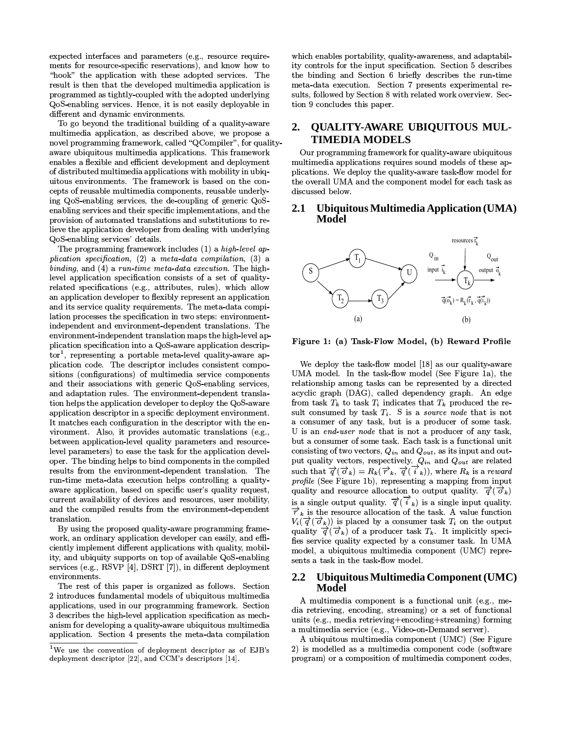expected interfaces and parameters (e.g., resource requirements for resource-specific reservations), and know how to "hook" the application with these adopted services. The result is then that the developed multimedia application is programmed as tightly-coupled with the adopted underlying QoS-enabling services. Hence, it is not easily deployable in different and dynamic environments.

To go beyond the traditional building of a quality-aware multimedia application, as described above, we propose a novel programming framework, called "QCompiler", for qualityaware ubiquitous multimedia applications. This framework enables a flexible and efficient development and deployment of distributed multimedia applications with mobility in ubiquitous environments. The framework is based on the concepts of reusable multimedia components, reusable underlying QoS-enabling services, the de-coupling of generic QoSenabling services and their specific implementations, and the provision of automated translations and substitutions to relieve the application developer from dealing with underlying QoS-enabling services' details.

The programming framework includes (1) a high-level application specification,  $(2)$  a meta-data compilation,  $(3)$  a binding, and (4) a run-time meta-data execution. The highlevel application specification consists of a set of qualityrelated specifications (e.g., attributes, rules), which allow an application developer to flexibly represent an application and its service quality requirements. The meta-data compilation processes the specification in two steps: environmentindependent and environment-dependent translations. The environment-independent translation maps the high-level application specification into a QoS-aware application descrip- $\text{tor}^1$ , representing a portable meta-level quality-aware application code. The descriptor includes consistent compositions (configurations) of multimedia service components and their associations with generic QoS-enabling services, and adaptation rules. The environment-dependent translation helps the application developer to deploy the QoS-aware application descriptor in a specific deployment environment. It matches each configuration in the descriptor with the environment. Also, it provides automatic translations (e.g., between application-level quality parameters and resourcelevel parameters) to ease the task for the application developer. The binding helps to bind components in the compiled results from the environment-dependent translation. The run-time meta-data execution helps controlling a qualityaware application, based on specific user's quality request, current availability of devices and resources, user mobility, and the compiled results from the environment-dependent translation.

By using the proposed quality-aware programming framework, an ordinary application developer can easily, and efficiently implement different applications with quality, mobility, and ubiquity supports on top of available QoS-enabling services (e.g., RSVP [4], DSRT [7]), in different deployment environments.

The rest of this paper is organized as follows. Section 2 introduces fundamental models of ubiquitous multimedia applications, used in our programming framework. Section 3 describes the high-level application specification as mechanism for developing a quality-aware ubiquitous multimedia application. Section 4 presents the meta-data compilation

which enables portability, quality-awareness, and adaptability controls for the input specification. Section 5 describes the binding and Section 6 briefly describes the run-time meta-data execution. Section 7 presents experimental results, followed by Section 8 with related work overview. Section 9 concludes this paper.

### **QUALITY-AWARE UBIQUITOUS MUL-** $2.$ **TIMEDIA MODELS**

Our programming framework for quality-aware ubiquitous multimedia applications requires sound models of these applications. We deploy the quality-aware task-flow model for the overall UMA and the component model for each task as discussed below.

### $2.1$ Ubiquitous Multimedia Application (UMA) **Model**



Figure 1: (a) Task-Flow Model, (b) Reward Profile

We deploy the task-flow model [18] as our quality-aware UMA model. In the task-flow model (See Figure 1a), the relationship among tasks can be represented by a directed acyclic graph (DAG), called dependency graph. An edge from task  $T_k$  to task  $T_i$  indicates that  $T_k$  produced the result consumed by task  $T_i$ . S is a source node that is not a consumer of any task, but is a producer of some task. U is an end-user node that is not a producer of any task, but a consumer of some task. Each task is a functional unit consisting of two vectors,  $Q_{in}$  and  $Q_{out}$ , as its input and output quality vectors, respectively.  $Q_{in}$  and  $Q_{out}$  are related such that  $\overrightarrow{q}(\overrightarrow{\sigma}_k) = R_k(\overrightarrow{r}_k, \overrightarrow{q}(\overrightarrow{i}_k))$ , where  $R_k$  is a reward profile (See Figure 1b), representing a mapping from input quality and resource allocation to output quality.  $\vec{q}(\vec{\sigma}_k)$ is a single output quality.  $\overrightarrow{q}(\overrightarrow{i}_k)$  is a single input quality.  $\overrightarrow{r}_k$  is the resource allocation of the task. A value function  $V_i(\vec{q}(\vec{\sigma}_k))$  is placed by a consumer task  $T_i$  on the output quality  $\overrightarrow{q}(\overrightarrow{\sigma}_k)$  of a producer task  $T_k$ . It implicitly specifies service quality expected by a consumer task. In UMA model, a ubiquitous multimedia component (UMC) represents a task in the task-flow model.

### $2.2\phantom{0}$ Ubiquitous Multimedia Component (UMC) Model

A multimedia component is a functional unit (e.g., media retrieving, encoding, streaming) or a set of functional units (e.g., media retrieving+encoding+streaming) forming a multimedia service (e.g., Video-on-Demand server).

A ubiquitous multimedia component (UMC) (See Figure 2) is modelled as a multimedia component code (software program) or a composition of multimedia component codes,

<sup>&</sup>lt;sup>1</sup>We use the convention of deployment descriptor as of EJB's deployment descriptor [22], and CCM's descriptors [14].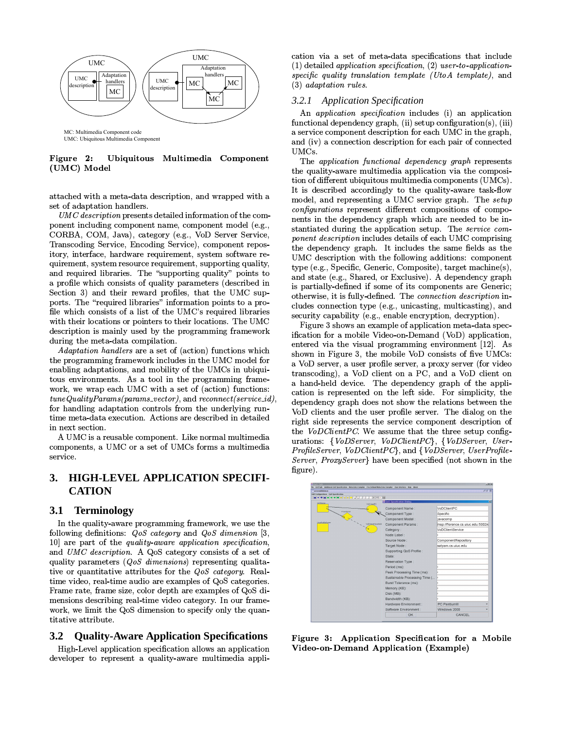

Figure 2: Ubiquitous Multimedia Component (UMC) Model

attached with a meta-data description, and wrapped with a set of adaptation handlers.

UMC description presents detailed information of the component including component name, component model (e.g., CORBA, COM, Java), category (e.g., VoD Server Service, Transcoding Service, Encoding Service), component repository, interface, hardware requirement, system software requirement, system resource requirement, supporting quality, and required libraries. The "supporting quality" points to a profile which consists of quality parameters (described in Section 3) and their reward profiles, that the UMC supports. The "required libraries" information points to a profile which consists of a list of the UMC's required libraries with their locations or pointers to their locations. The UMC description is mainly used by the programming framework during the meta-data compilation.

*Adaptation handlers* are a set of (action) functions which the programming framework includes in the UMC model for enabling adaptations, and mobility of the UMCs in ubiquitous environments. As a tool in the programming framework, we wrap each UMC with a set of (action) functions:  $tuneQuality~Params (params\_vector)$ , and  $reconnect (service\_id)$ , for handling adaptation controls from the underlying runtime meta-data execution. Actions are described in detailed in next section.

A UMC is a reusable component. Like normal multimedia components, a UMC or a set of UMCs forms a multimedia service

### **HIGH-LEVEL APPLICATION SPECIFI-**3. **CATION**

#### **3.1** Terminology

In the quality-aware programming framework, we use the following definitions:  $QoS$  category and  $QoS$  dimension [3,  $10$ ] are part of the *quality-aware application specification*, and UMC description. A QoS category consists of a set of quality parameters ( $QoS$  dimensions) representing qualitative or quantitative attributes for the *QoS category*. Realtime video, real-time audio are examples of QoS categories. Frame rate, frame size, color depth are examples of QoS dimensions describing real-time video category. In our framework, we limit the QoS dimension to specify only the quantitative attribute.

#### **Quality-Aware Application Specifications**  $3.2$

High-Level application specification allows an application developer to represent a quality-aware multimedia application via a set of meta-data specifications that include  $(1)$  detailed application specification,  $(2)$  user-to-applicationspecific quality translation template (UtoA template), and  $(3)$  adaptation rules.

# 3.2.1 Application Specification

An *application specification* includes (i) an application functional dependency graph, (ii) setup configuration(s), (iii) a service component description for each UMC in the graph, and (iv) a connection description for each pair of connected UMCs.

The application functional dependency graph represents the quality-aware multimedia application via the composition of different ubiquitous multimedia components (UMCs). It is described accordingly to the quality-aware task-flow model, and representing a UMC service graph. The setup configurations represent different compositions of components in the dependency graph which are needed to be instantiated during the application setup. The service component description includes details of each UMC comprising the dependency graph. It includes the same fields as the UMC description with the following additions: component type (e.g., Specific, Generic, Composite), target machine(s), and state (e.g., Shared, or Exclusive). A dependency graph is partially-defined if some of its components are Generic; otherwise, it is fully-defined. The *connection description* includes connection type (e.g., unicasting, multicasting), and security capability (e.g., enable encryption, decryption).

Figure 3 shows an example of application meta-data specification for a mobile Video-on-Demand (VoD) application, entered via the visual programming environment [12]. As shown in Figure 3, the mobile VoD consists of five UMCs: a VoD server, a user profile server, a proxy server (for video transcoding), a VoD client on a PC, and a VoD client on a hand-held device. The dependency graph of the application is represented on the left side. For simplicity, the dependency graph does not show the relations between the VoD clients and the user profile server. The dialog on the right side represents the service component description of the VoDClientPC. We assume that the three setup configurations: {VoDServer, VoDClientPC}, {VoDServer, User-ProfileServer, VoDClientPC}, and {VoDServer, UserProfile-Server, ProxyServer have been specified (not shown in the figure).

| 送送用<br><b>Financial McGanan</b>    |                                                         |                                   |
|------------------------------------|---------------------------------------------------------|-----------------------------------|
| Ddi Confearaixea OzS Specification |                                                         |                                   |
| ----------------                   | <b>X &lt; C N</b><br><b>El</b> GoS Specification Dialog |                                   |
| <b>VVDServer</b>                   | VoColenzi C                                             |                                   |
|                                    | Component Name:                                         | VoDClientPC                       |
| Protect govern                     | Component Type:                                         | Specific                          |
|                                    | Component Model:                                        | javacomp                          |
| UserFraWeGerver                    | blethearthygiDOoV<br>Component Params:                  | msp://florence.cs.uiuc.edu:5002/6 |
|                                    | Category:                                               | VoDClientService                  |
|                                    | Node Label:                                             |                                   |
|                                    | Source Node:                                            | ComponentRepository               |
|                                    | Target Node:                                            | satyam.cs.uiuc.edu                |
|                                    | Supporting QoS Profile :                                |                                   |
|                                    | State:                                                  |                                   |
|                                    | Reservation Type:                                       |                                   |
|                                    | Period (ms):                                            |                                   |
|                                    | Peak Processing Time (ms):                              |                                   |
|                                    | Sustainable Processing Time (                           |                                   |
|                                    | Burst Tolerance (ms):                                   |                                   |
|                                    | Memory (KB):                                            |                                   |
|                                    | Disk (MB):                                              |                                   |
|                                    | Bandwidth (KB):                                         |                                   |
|                                    | Hardware Environment :                                  | PC PentiumIII                     |
|                                    | Software Environment :                                  | Windows 2000                      |
|                                    | OK                                                      | <b>CANCEL</b>                     |

Figure 3: Application Specification for a Mobile Video-on-Demand Application (Example)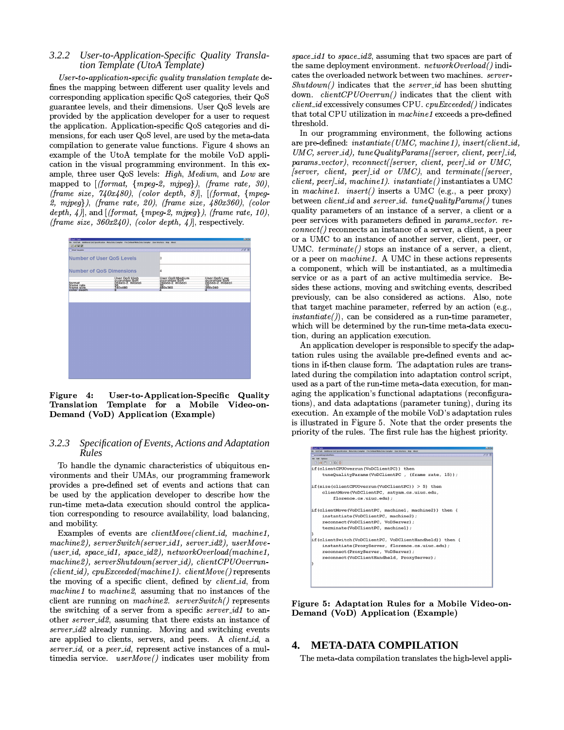### $3.2.2$ User-to-Application-Specific Quality Translation Template (UtoA Template)

User-to-application-specific quality translation template defines the mapping between different user quality levels and corresponding application specific QoS categories, their QoS guarantee levels, and their dimensions. User QoS levels are provided by the application developer for a user to request the application. Application-specific QoS categories and dimensions, for each user QoS level, are used by the meta-data compilation to generate value functions. Figure 4 shows an example of the UtoA template for the mobile VoD application in the visual programming environment. In this example, three user QoS levels: High, Medium, and Low are mapped to  $[(format, {mpeg-2, mjpeg}), (frame rate, 30),$ (frame size,  $740x480$ ), (color depth, 8)], [(format, {mpeg- $2,$  mjpeg}), (frame rate, 20), (frame size,  $480x360$ ), (color depth,  $4$ ), and [(format, {mpeg-2, mjpeg}), (frame rate, 10), (frame size,  $360x240$ ), (color depth, 4)], respectively.



Figure 4: User-to-Application-Specific Quality Template for a Mobile Video-on-Translation Demand (VoD) Application (Example)

### $3.2.3$ Specification of Events, Actions and Adaptation Rules

To handle the dynamic characteristics of ubiquitous environments and their UMAs, our programming framework provides a pre-defined set of events and actions that can be used by the application developer to describe how the run-time meta-data execution should control the application corresponding to resource availability, load balancing, and mobility.

Examples of events are *clientMove*(*client\_id*, machine1, machine2), serverSwitch(server\_id1, server\_id2), userMove- $(user_id, space_id1, space_id2), networkOverload(machine1,$  $machine2), serverShutdown(server_id), clientCPUOverrun (client\_id), cyuExceeded(machine1). clientMove() represents$ the moving of a specific client, defined by *client id*, from machine1 to machine2, assuming that no instances of the client are running on machine2.  $serverSwitch()$  represents the switching of a server from a specific *server id1* to another *server\_id2*, assuming that there exists an instance of server\_id2 already running. Moving and switching events are applied to clients, servers, and peers. A clientid, a server\_id, or a peer\_id, represent active instances of a multimedia service. userMove() indicates user mobility from space\_id1 to space\_id2, assuming that two spaces are part of the same deployment environment.  $networkOverall$  () indicates the overloaded network between two machines. server- $Shutdown()$  indicates that the server-id has been shutting down.  $clientCPUOverrun()$  indicates that the client with  $client\_id$  excessively consumes CPU.  $cpuExeceded()$  indicates that total CPU utilization in machine1 exceeds a pre-defined threshold.

In our programming environment, the following actions are pre-defined: instantiate(UMC, machine1), insert(client\_id, UMC, server\_id), tuneQualityParams([server, client, peer]\_id, params\_vector), reconnect([server, client, peer]\_id or UMC, [server, client, peer]-id or UMC), and terminate([server,  $client, peer \textit{]}\_id, machine1 \textit{)}. \textit{instantiate()}$  instantiates a UMC in machine1. insert() inserts a UMC (e.g., a peer proxy) between *client id* and *server id.* tuneQualityParams() tunes quality parameters of an instance of a server, a client or a peer services with parameters defined in params\_vector. re $connect()$  reconnects an instance of a server, a client, a peer or a UMC to an instance of another server, client, peer, or UMC.  $terminate()$  stops an instance of a server, a client, or a peer on machine1. A UMC in these actions represents a component, which will be instantiated, as a multimedia service or as a part of an active multimedia service. Besides these actions, moving and switching events, described previously, can be also considered as actions. Also, note that target machine parameter, referred by an action (e.g.,  $instantiate(), can be considered as a run-time parameter.$ which will be determined by the run-time meta-data execution, during an application execution.

An application developer is responsible to specify the adaptation rules using the available pre-defined events and actions in if-then clause form. The adaptation rules are translated during the compilation into adaptation control script, used as a part of the run-time meta-data execution, for managing the application's functional adaptations (reconfigurations), and data adaptations (parameter tuning), during its execution. An example of the mobile VoD's adaptation rules is illustrated in Figure 5. Note that the order presents the priority of the rules. The first rule has the highest priority.



Figure 5: Adaptation Rules for a Mobile Video-on-Demand (VoD) Application (Example)

#### $\mathbf{4}$ **META-DATA COMPILATION**

The meta-data compilation translates the high-level appli-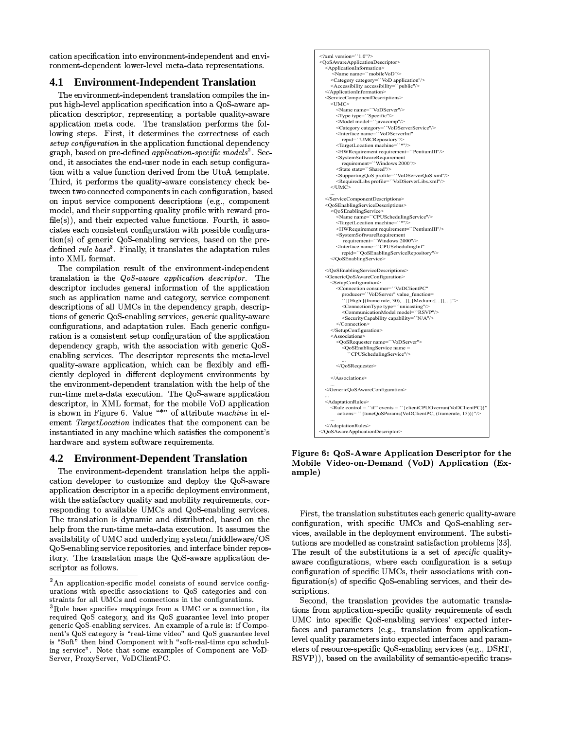cation specification into environment-independent and environment-dependent lower-level meta-data representations.

#### 4.1 **Environment-Independent Translation**

The environment-independent translation compiles the input high-level application specification into a QoS-aware application descriptor, representing a portable quality-aware application meta code. The translation performs the following steps. First, it determines the correctness of each setup configuration in the application functional dependency graph, based on pre-defined *application-specific models*<sup>2</sup>. Second, it associates the end-user node in each setup configuration with a value function derived from the UtoA template. Third, it performs the quality-aware consistency check between two connected components in each configuration, based on input service component descriptions (e.g., component model, and their supporting quality profile with reward pro $file(s)$ , and their expected value functions. Fourth, it associates each consistent configuration with possible configura- $\frac{\text{tion}(s)}{\text{of generic QoS-enabling services}}$ , based on the predefined rule  $base<sup>3</sup>$ . Finally, it translates the adaptation rules into XML format.

The compilation result of the environment-independent translation is the QoS-aware application descriptor. The descriptor includes general information of the application such as application name and category, service component descriptions of all UMCs in the dependency graph, descriptions of generic QoS-enabling services, generic quality-aware configurations, and adaptation rules. Each generic configuration is a consistent setup configuration of the application dependency graph, with the association with generic QoSenabling services. The descriptor represents the meta-level quality-aware application, which can be flexibly and efficiently deployed in different deployment environments by the environment-dependent translation with the help of the run-time meta-data execution. The QoS-aware application descriptor, in XML format, for the mobile VoD application is shown in Figure 6. Value "\*" of attribute machine in element *TargetLocation* indicates that the component can be instantiated in any machine which satisfies the component's hardware and system software requirements.

#### $4.2^{\circ}$ **Environment-Dependent Translation**

The environment-dependent translation helps the application developer to customize and deploy the QoS-aware application descriptor in a specific deployment environment, with the satisfactory quality and mobility requirements, corresponding to available UMCs and QoS-enabling services. The translation is dynamic and distributed, based on the help from the run-time meta-data execution. It assumes the availability of UMC and underlying system/middleware/OS QoS-enabling service repositories, and interface binder repository. The translation maps the QoS-aware application descriptor as follows.



Figure 6: QoS-Aware Application Descriptor for the Mobile Video-on-Demand (VoD) Application (Example)

First, the translation substitutes each generic quality-aware configuration, with specific UMCs and QoS-enabling services, available in the deployment environment. The substitutions are modelled as constraint satisfaction problems [33]. The result of the substitutions is a set of *specific* qualityaware configurations, where each configuration is a setup configuration of specific UMCs, their associations with configuration(s) of specific QoS-enabling services, and their descriptions.

Second, the translation provides the automatic translations from application-specific quality requirements of each UMC into specific QoS-enabling services' expected interfaces and parameters (e.g., translation from applicationlevel quality parameters into expected interfaces and parameters of resource-specific QoS-enabling services (e.g., DSRT, RSVP), based on the availability of semantic-specific trans-

 ${}^{2}$ An application-specific model consists of sound service configurations with specific associations to QoS categories and constraints for all UMCs and connections in the configurations.

 $3$ Rule base specifies mappings from a UMC or a connection, its required QoS category, and its QoS guarantee level into proper generic QoS-enabling services. An example of a rule is: if Component's QoS category is "real-time video" and QoS guarantee level is "Soft" then bind Component with "soft-real-time cpu scheduling service". Note that some examples of Component are VoD-Server, ProxyServer, VoDClientPC.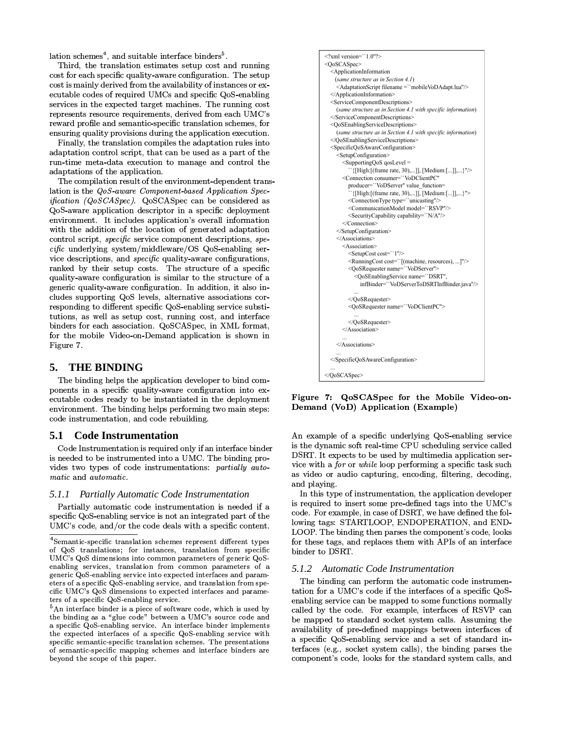lation schemes<sup>4</sup>, and suitable interface binders<sup>5</sup>.

Third, the translation estimates setup cost and running cost for each specific quality-aware configuration. The setup cost is mainly derived from the availability of instances or executable codes of required UMCs and specific QoS-enabling services in the expected target machines. The running cost represents resource requirements, derived from each UMC's reward profile and semantic-specific translation schemes, for ensuring quality provisions during the application execution.

Finally, the translation compiles the adaptation rules into adaptation control script, that can be used as a part of the run-time meta-data execution to manage and control the adaptations of the application.

The compilation result of the environment-dependent translation is the QoS-aware Component-based Application Spec*ification (QoSCASpec)*. QoSCASpec can be considered as QoS-aware application descriptor in a specific deployment environment. It includes application's overall information with the addition of the location of generated adaptation control script, specific service component descriptions, spe $cific$  underlying system/middleware/OS QoS-enabling service descriptions, and *specific* quality-aware configurations, ranked by their setup costs. The structure of a specific quality-aware configuration is similar to the structure of a generic quality-aware configuration. In addition, it also includes supporting QoS levels, alternative associations corresponding to different specific QoS-enabling service substitutions, as well as setup cost, running cost, and interface binders for each association. QoSCASpec, in XML format, for the mobile Video-on-Demand application is shown in Figure 7.

#### **THE BINDING** 5.

The binding helps the application developer to bind components in a specific quality-aware configuration into executable codes ready to be instantiated in the deployment environment. The binding helps performing two main steps: code instrumentation, and code rebuilding.

#### **Code Instrumentation** 5.1

Code Instrumentation is required only if an interface binder is needed to be instrumented into a UMC. The binding provides two types of code instrumentations: partially automatic and automatic.

### 5.1.1 Partially Automatic Code Instrumentation

Partially automatic code instrumentation is needed if a specific QoS-enabling service is not an integrated part of the UMC's code, and/or the code deals with a specific content.

```
\leq?xml version=``1.0"?>
<OoSCASnec>
  <ApplicationInformation
   (same structure as in Section 4.1)
    <AdaptationScript filename = ``mobileVoDAdapt.lua"/>
  </ApplicationInformation>
  <ServiceComponentDescriptions>
    (same structure as in Section 4.1 with specific information)
  </ServiceComponentDescriptions>
  <\!\!QoSEnablingServiceDescriptions\!\!>(same structure as in Section 4.1 with specific information)
  </OoSEnablingServiceDescriptions>
  <SpecificQoSAwareConfiguration>
    <SetupConfiguration>
       <SupportingQoS qosLevel =
          {[High:[(frame rate, 30),...]], [Medium:[...]],...}"/>
      <Connection consumer="VoDClientPC"
         producer="VoDServer" value function=
          `{[High:[(frame rate, 30),...]], [Medium:[...]],...}">
         <ConnectionType type="unicasting"/>
         <CommunicationModel model="RSVP"/>
         <SecurityCapability capability="N/A"/>
      </Connection>
    </SetupConfiguration>
    \leqAssociations>
       <Association>
         <SetupCost cost="1"/>
         <RunningCost cost=""[(machine, resources), ...]"/>
         <QoSRequester name="VoDServer">
            <OoSEnablingService name="DSRT".
             infBinder="VoDServerToDSRTInfBinder.java"/>
         </OoSRequester>
         <QoSRequester name="VoDClientPC">
         </OoSRequester>
      </Association>
    </Associations>
  </SpecificQoSAwareConfiguration>
</QoSCASpec>
```
Figure 7: QoSCASpec for the Mobile Video-on-Demand (VoD) Application (Example)

An example of a specific underlying QoS-enabling service is the dynamic soft real-time CPU scheduling service called DSRT. It expects to be used by multimedia application service with a *for* or *while* loop performing a specific task such as video or audio capturing, encoding, filtering, decoding, and playing.

In this type of instrumentation, the application developer is required to insert some pre-defined tags into the UMC's code. For example, in case of DSRT, we have defined the following tags: STARTLOOP, ENDOPERATION, and END-LOOP. The binding then parses the component's code, looks for these tags, and replaces them with APIs of an interface binder to DSRT.

# 5.1.2 Automatic Code Instrumentation

The binding can perform the automatic code instrumentation for a UMC's code if the interfaces of a specific QoSenabling service can be mapped to some functions normally called by the code. For example, interfaces of RSVP can be mapped to standard socket system calls. Assuming the availability of pre-defined mappings between interfaces of a specific QoS-enabling service and a set of standard interfaces (e.g., socket system calls), the binding parses the component's code, looks for the standard system calls, and

<sup>&</sup>lt;sup>4</sup>Semantic-specific translation schemes represent different types of QoS translations; for instances, translation from specific UMC's QoS dimensions into common parameters of generic QoSenabling services, translation from common parameters of a generic QoS-enabling service into expected interfaces and parameters of a specific QoS enabling service, and translation from specific UMC's QoS dimensions to expected interfaces and parameters of a specific QoS-enabling service.

 ${}^{5}$ An interface binder is a piece of software code, which is used by the binding as a "glue code" between a UMC's source code and a specific OoS-enabling service. An interface binder implements the expected interfaces of a specific QoS-enabling service with specific semantic specific translation schemes. The presentations of semantic specific mapping schemes and interface binders are beyond the scope of this paper.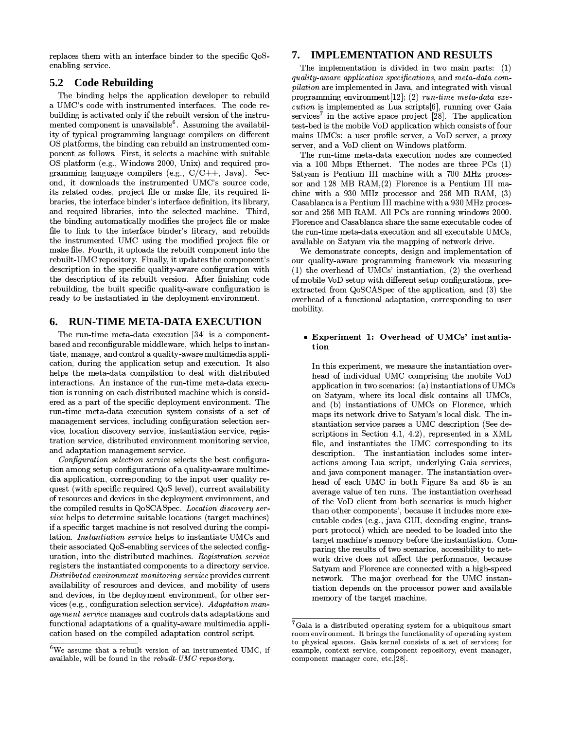replaces them with an interface binder to the specific QoSenabling service.

# 5.2 Code Rebuilding

The binding helps the application developer to rebuild a UMC's code with instrumented interfaces. The code rebuilding is activated only if the rebuilt version of the instrumented component is unavailable<sup>6</sup>. Assuming the availability of typical programming language compilers on different OS platforms, the binding can rebuild an instrumented component as follows. First, it selects a machine with suitable OS platform (e.g., Windows 2000, Unix) and required programming language compilers (e.g.,  $C/C++$ , Java). Second, it downloads the instrumented UMC's source code, its related codes, project file or make file, its required libraries, the interface binder's interface definition, its library, and required libraries, into the selected machine. Third, the binding automatically modifies the project file or make file to link to the interface binder's library, and rebuilds the instrumented UMC using the modified project file or make file. Fourth, it uploads the rebuilt component into the rebuilt-UMC repository. Finally, it updates the component's description in the specific quality-aware configuration with the description of its rebuilt version. After finishing code rebuilding, the built specific quality-aware configuration is ready to be instantiated in the deployment environment.

#### **RUN-TIME META-DATA EXECUTION** 6.

The run-time meta-data execution [34] is a componentbased and reconfigurable middleware, which helps to instantiate, manage, and control a quality-aware multimedia application, during the application setup and execution. It also helps the meta-data compilation to deal with distributed interactions. An instance of the run-time meta-data execution is running on each distributed machine which is considered as a part of the specific deployment environment. The run-time meta-data execution system consists of a set of management services, including configuration selection service, location discovery service, instantiation service, registration service, distributed environment monitoring service, and adaptation management service.

Configuration selection service selects the best configuration among setup configurations of a quality-aware multimedia application, corresponding to the input user quality request (with specific required QoS level), current availability of resources and devices in the deployment environment, and the compiled results in QoSCASpec. Location discovery ser*vice* helps to determine suitable locations (target machines) if a specific target machine is not resolved during the compilation. Instantiation service helps to instantiate UMCs and their associated QoS-enabling services of the selected configuration, into the distributed machines. Registration service registers the instantiated components to a directory service. Distributed environment monitoring service provides current availability of resources and devices, and mobility of users and devices, in the deployment environment, for other services (e.g., configuration selection service). Adaptation management service manages and controls data adaptations and functional adaptations of a quality-aware multimedia application based on the compiled adaptation control script.

# 7. IMPLEMENTATION AND RESULTS

The implementation is divided in two main parts:  $(1)$ quality-aware application specifications, and meta-data com*pilation* are implemented in Java, and integrated with visual programming environment [12]; (2) run-time meta-data execution is implemented as Lua scripts[6], running over Gaia services<sup>7</sup> in the active space project  $[28]$ . The application test-bed is the mobile VoD application which consists of four mains UMCs: a user profile server, a VoD server, a proxy server, and a VoD client on Windows platform.

The run-time meta-data execution nodes are connected via a 100 Mbps Ethernet. The nodes are three PCs (1) Satyam is Pentium III machine with a 700 MHz processor and 128 MB RAM $(2)$  Florence is a Pentium III machine with a 930 MHz processor and 256 MB RAM, (3) Casablanca is a Pentium III machine with a 930 MHz processor and 256 MB RAM. All PCs are running windows 2000. Florence and Casablanca share the same executable codes of the run-time meta-data execution and all executable UMCs, available on Satyam via the mapping of network drive.

We demonstrate concepts, design and implementation of our quality-aware programming framework via measuring (1) the overhead of UMCs' instantiation, (2) the overhead of mobile VoD setup with different setup configurations, preextracted from QoSCASpec of the application, and (3) the overhead of a functional adaptation, corresponding to user mobility.

### • Experiment 1: Overhead of UMCs' instantiation

In this experiment, we measure the instantiation overhead of individual UMC comprising the mobile VoD application in two scenarios: (a) instantiations of UMCs on Satyam, where its local disk contains all UMCs, and (b) instantiations of UMCs on Florence, which maps its network drive to Satyam's local disk. The instantiation service parses a UMC description (See descriptions in Section 4.1, 4.2), represented in a XML file, and instantiates the UMC corresponding to its description. The instantiation includes some interactions among Lua script, underlying Gaia services, and java component manager. The instantiation overhead of each UMC in both Figure 8a and 8b is an average value of ten runs. The instantiation overhead of the VoD client from both scenarios is much higher than other components', because it includes more executable codes (e.g., java GUI, decoding engine, transport protocol) which are needed to be loaded into the target machine's memory before the instantiation. Comparing the results of two scenarios, accessibility to network drive does not affect the performance, because Satyam and Florence are connected with a high-speed network. The major overhead for the UMC instantiation depends on the processor power and available memory of the target machine.

 $6$ We assume that a rebuilt version of an instrumented UMC, if available, will be found in the rebuilt-UMC repository.

 ${}^{7}$ Gaia is a distributed operating system for a ubiquitous smart room environment. It brings the functionality of operating system to physical spaces. Gaia kernel consists of a set of services; for example, context service, component repository, event manager, component manager core, etc.[28].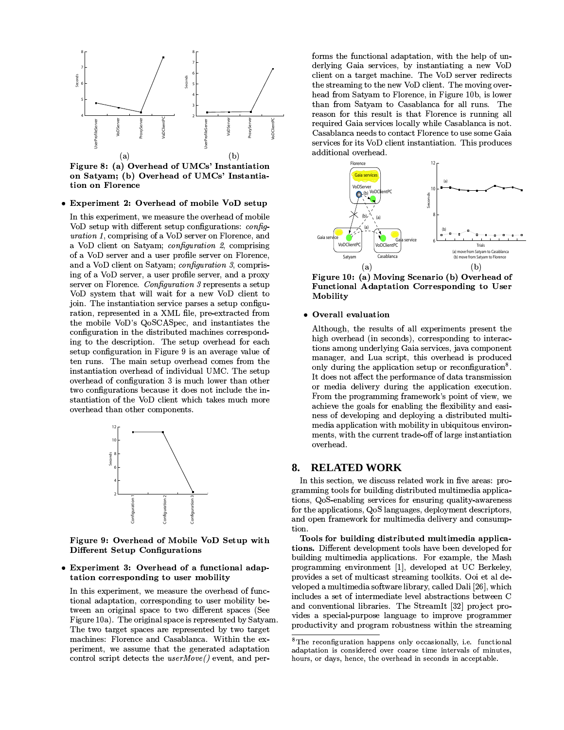

**Experiment 2: Overhead of mobile VoD setup** 

In this experiment, we measure the overhead of mobile VoD setup with different setup configurations: config*uration 1*, comprising of a VoD server on Florence, and a VoD client on Satyam; configuration 2, comprising of a VoD server and a user profile server on Florence, and a VoD client on Satyam; configuration 3, comprising of a VoD server, a user profile server, and a proxy server on Florence. Configuration 3 represents a setup VoD system that will wait for a new VoD client to join. The instantiation service parses a setup configuration, represented in a XML file, pre-extracted from the mobile VoD's QoSCASpec, and instantiates the configuration in the distributed machines corresponding to the description. The setup overhead for each setup configuration in Figure 9 is an average value of ten runs. The main setup overhead comes from the instantiation overhead of individual UMC. The setup overhead of configuration 3 is much lower than other two configurations because it does not include the instantiation of the VoD client which takes much more overhead than other components.



Figure 9: Overhead of Mobile VoD Setup with **Different Setup Configurations** 

# **Experiment 3: Overhead of a functional adap**tation corresponding to user mobility

In this experiment, we measure the overhead of functional adaptation, corresponding to user mobility between an original space to two different spaces (See Figure 10a). The original space is represented by Satyam. The two target spaces are represented by two target machines: Florence and Casablanca. Within the experiment, we assume that the generated adaptation control script detects the  $userMove()$  event, and per-

forms the functional adaptation, with the help of underlying Gaia services, by instantiating a new VoD client on a target machine. The VoD server redirects the streaming to the new VoD client. The moving overhead from Satyam to Florence, in Figure 10b, is lower than from Satyam to Casablanca for all runs. The reason for this result is that Florence is running all required Gaia services locally while Casablanca is not. Casablanca needs to contact Florence to use some Gaia services for its VoD client instantiation. This produces additional overhead.



Figure 10: (a) Moving Scenario (b) Overhead of Functional Adaptation Corresponding to User Mobility

### • Overall evaluation

Although, the results of all experiments present the high overhead (in seconds), corresponding to interactions among underlying Gaia services, java component manager, and Lua script, this overhead is produced only during the application setup or reconfiguration<sup>8</sup>. It does not affect the performance of data transmission or media delivery during the application execution. From the programming framework's point of view, we achieve the goals for enabling the flexibility and easiness of developing and deploying a distributed multimedia application with mobility in ubiquitous environments, with the current trade-off of large instantiation overhead.

#### **RELATED WORK** 8.

In this section, we discuss related work in five areas: programming tools for building distributed multimedia applications, QoS-enabling services for ensuring quality-awareness for the applications, QoS languages, deployment descriptors, and open framework for multimedia delivery and consumption.

Tools for building distributed multimedia applications. Different development tools have been developed for building multimedia applications. For example, the Mash programming environment [1], developed at UC Berkeley, provides a set of multicast streaming toolkits. Ooi et al developed a multimedia software library, called Dali [26], which includes a set of intermediate level abstractions between C and conventional libraries. The StreamIt [32] project provides a special-purpose language to improve programmer productivity and program robustness within the streaming

 ${}^{8}$ The reconfiguration happens only occasionally, i.e. functional adaptation is considered over coarse time intervals of minutes. hours, or days, hence, the overhead in seconds in acceptable.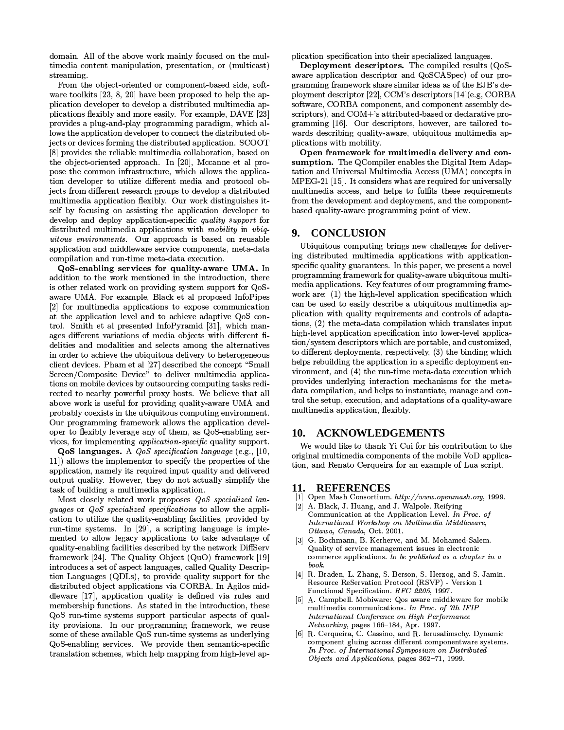domain. All of the above work mainly focused on the multimedia content manipulation, presentation, or (multicast) streaming.

From the object-oriented or component-based side, software toolkits  $[23, 8, 20]$  have been proposed to help the application developer to develop a distributed multimedia applications flexibly and more easily. For example, DAVE [23] provides a plug-and-play programming paradigm, which allows the application developer to connect the distributed objects or devices forming the distributed application. SCOOT [8] provides the reliable multimedia collaboration, based on the object-oriented approach. In [20], Mccanne et al propose the common infrastructure, which allows the application developer to utilize different media and protocol objects from different research groups to develop a distributed multimedia application flexibly. Our work distinguishes itself by focusing on assisting the application developer to develop and deploy application-specific quality support for distributed multimedia applications with mobility in ubiquitous environments. Our approach is based on reusable application and middleware service components, meta-data compilation and run-time meta-data execution.

QoS-enabling services for quality-aware UMA. In addition to the work mentioned in the introduction, there is other related work on providing system support for QoSaware UMA. For example, Black et al proposed InfoPipes [2] for multimedia applications to expose communication at the application level and to achieve adaptive QoS control. Smith et al presented InfoPyramid [31], which manages different variations of media objects with different fidelities and modalities and selects among the alternatives in order to achieve the ubiquitous delivery to heterogeneous client devices. Pham et al [27] described the concept "Small Screen/Composite Device" to deliver multimedia applications on mobile devices by outsourcing computing tasks redirected to nearby powerful proxy hosts. We believe that all above work is useful for providing quality-aware UMA and probably coexists in the ubiquitous computing environment. Our programming framework allows the application developer to flexibly leverage any of them, as QoS-enabling services, for implementing *application-specific* quality support.

QoS languages. A *QoS specification language* (e.g., [10, 11]) allows the implementor to specify the properties of the application, namely its required input quality and delivered output quality. However, they do not actually simplify the task of building a multimedia application.

Most closely related work proposes QoS specialized lanquages or *QoS* specialized specifications to allow the application to utilize the quality-enabling facilities, provided by run-time systems. In [29], a scripting language is implemented to allow legacy applications to take advantage of quality-enabling facilities described by the network DiffServ framework [24]. The Quality Object (QuO) framework [19] introduces a set of aspect languages, called Quality Description Languages (QDLs), to provide quality support for the distributed object applications via CORBA. In Agilos middleware [17], application quality is defined via rules and membership functions. As stated in the introduction, these QoS run-time systems support particular aspects of quality provisions. In our programming framework, we reuse some of these available QoS run-time systems as underlying QoS-enabling services. We provide then semantic-specific translation schemes, which help mapping from high-level application specification into their specialized languages.

Deployment descriptors. The compiled results (QoSaware application descriptor and QoSCASpec) of our programming framework share similar ideas as of the EJB's deployment descriptor [22], CCM's descriptors [14](e.g. CORBA software, CORBA component, and component assembly descriptors), and COM+'s attributed-based or declarative programming [16]. Our descriptors, however, are tailored towards describing quality-aware, ubiquitous multimedia applications with mobility.

Open framework for multimedia delivery and consumption. The QCompiler enables the Digital Item Adaptation and Universal Multimedia Access (UMA) concepts in MPEG-21 [15]. It considers what are required for universally multimedia access, and helps to fulfils these requirements from the development and deployment, and the componentbased quality-aware programming point of view.

#### **CONCLUSION** 9.

Ubiquitous computing brings new challenges for delivering distributed multimedia applications with applicationspecific quality guarantees. In this paper, we present a novel programming framework for quality-aware ubiquitous multimedia applications. Key features of our programming framework are: (1) the high-level application specification which can be used to easily describe a ubiquitous multimedia application with quality requirements and controls of adaptations, (2) the meta-data compilation which translates input high-level application specification into lower-level application/system descriptors which are portable, and customized, to different deployments, respectively, (3) the binding which helps rebuilding the application in a specific deployment environment, and (4) the run-time meta-data execution which provides underlying interaction mechanisms for the metadata compilation, and helps to instantiate, manage and control the setup, execution, and adaptations of a quality-aware multimedia application, flexibly.

# 10. ACKNOWLEDGEMENTS

We would like to thank Yi Cui for his contribution to the original multimedia components of the mobile VoD application, and Renato Cerqueira for an example of Lua script.

### 11. REFERENCES

- [1] Open Mash Consortium. http://www.openmash.org, 1999.
- [2] A. Black, J. Huang, and J. Walpole. Reifying Communication at the Application Level. In Proc. of International Workshop on Multimedia Middleware, Ottawa, Canada, Oct. 2001.
- G. Bochmann, B. Kerherve, and M. Mohamed-Salem. Quality of service management issues in electronic commerce applications. to be published as a chapter in a book.
- [4] R. Braden, L. Zhang, S. Berson, S. Herzog, and S. Jamin. Resource ReServation Protocol (RSVP) - Version 1 Functional Specification. RFC 2205, 1997.
- [5] A. Campbell. Mobiware: Qos aware middleware for mobile multimedia communications. In Proc. of 7th IFIF International Conference on High Performance Networking, pages 166-184, Apr. 1997.
- R. Cerqueira, C. Cassino, and R. Ierusalimschy. Dynamic  $[6]$ component gluing across different componentware systems. In Proc. of International Symposium on Distributed Objects and Applications, pages 362-71, 1999.